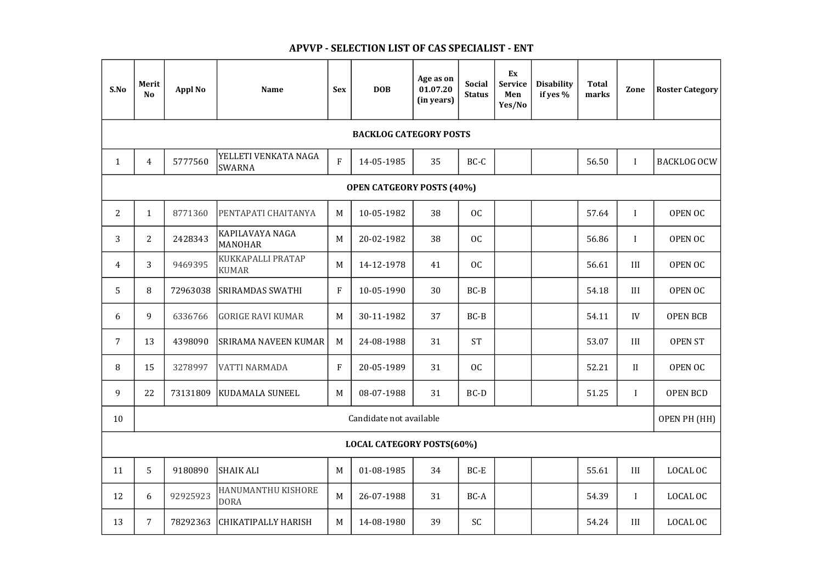| S.No                             | Merit<br>N <sub>o</sub> | <b>Appl No</b>          | <b>Name</b>                           | <b>Sex</b>   | <b>DOB</b> | Age as on<br>01.07.20<br>(in years) | <b>Social</b><br><b>Status</b> | Ex<br>Service<br>Men<br>Yes/No | <b>Disability</b><br>if yes % | <b>Total</b><br>marks | Zone         | <b>Roster Category</b> |
|----------------------------------|-------------------------|-------------------------|---------------------------------------|--------------|------------|-------------------------------------|--------------------------------|--------------------------------|-------------------------------|-----------------------|--------------|------------------------|
| <b>BACKLOG CATEGORY POSTS</b>    |                         |                         |                                       |              |            |                                     |                                |                                |                               |                       |              |                        |
| $\mathbf{1}$                     | $\overline{4}$          | 5777560                 | YELLETI VENKATA NAGA<br><b>SWARNA</b> | ${\bf F}$    | 14-05-1985 | 35                                  | BC-C                           |                                |                               | 56.50                 | $\mathbf I$  | <b>BACKLOG OCW</b>     |
| <b>OPEN CATGEORY POSTS (40%)</b> |                         |                         |                                       |              |            |                                     |                                |                                |                               |                       |              |                        |
| $\overline{2}$                   | $\mathbf{1}$            | 8771360                 | PENTAPATI CHAITANYA                   | M            | 10-05-1982 | 38                                  | OC                             |                                |                               | 57.64                 | $\mathbf I$  | OPEN OC                |
| 3                                | $\overline{2}$          | 2428343                 | KAPILAVAYA NAGA<br>MANOHAR            | M            | 20-02-1982 | 38                                  | <b>OC</b>                      |                                |                               | 56.86                 | $\bf{l}$     | OPEN OC                |
| 4                                | 3                       | 9469395                 | KUKKAPALLI PRATAP<br><b>KUMAR</b>     | M            | 14-12-1978 | 41                                  | OC                             |                                |                               | 56.61                 | III          | <b>OPEN OC</b>         |
| 5                                | 8                       | 72963038                | <b>SRIRAMDAS SWATHI</b>               | $\mathbf F$  | 10-05-1990 | 30                                  | $BC-B$                         |                                |                               | 54.18                 | III          | OPEN OC                |
| 6                                | 9                       | 6336766                 | <b>GORIGE RAVI KUMAR</b>              | M            | 30-11-1982 | 37                                  | $BC-B$                         |                                |                               | 54.11                 | IV           | <b>OPEN BCB</b>        |
| $\overline{7}$                   | 13                      | 4398090                 | <b>SRIRAMA NAVEEN KUMAR</b>           | M            | 24-08-1988 | 31                                  | <b>ST</b>                      |                                |                               | 53.07                 | III          | <b>OPEN ST</b>         |
| 8                                | 15                      |                         | 3278997   VATTI NARMADA               | $\mathbf{F}$ | 20-05-1989 | 31                                  | OC                             |                                |                               | 52.21                 | $\prod$      | OPEN OC                |
| 9                                | 22                      | 73131809                | <b>KUDAMALA SUNEEL</b>                | M            | 08-07-1988 | 31                                  | BC-D                           |                                |                               | 51.25                 | $\mathbf{I}$ | <b>OPEN BCD</b>        |
| 10                               |                         | Candidate not available |                                       |              |            |                                     |                                |                                |                               |                       | OPEN PH (HH) |                        |
| <b>LOCAL CATEGORY POSTS(60%)</b> |                         |                         |                                       |              |            |                                     |                                |                                |                               |                       |              |                        |
| 11                               | 5                       | 9180890                 | SHAIK ALI                             | M            | 01-08-1985 | 34                                  | BC-E                           |                                |                               | 55.61                 | III          | LOCAL OC               |
| 12                               | 6                       | 92925923                | HANUMANTHU KISHORE<br><b>DORA</b>     | M            | 26-07-1988 | 31                                  | BC-A                           |                                |                               | 54.39                 | $\mathbf{I}$ | LOCAL OC               |
| 13                               | $\overline{7}$          | 78292363                | <b>CHIKATIPALLY HARISH</b>            | M            | 14-08-1980 | 39                                  | SC                             |                                |                               | 54.24                 | III          | LOCAL OC               |

## APVVP - SELECTION LIST OF CAS SPECIALIST - ENT